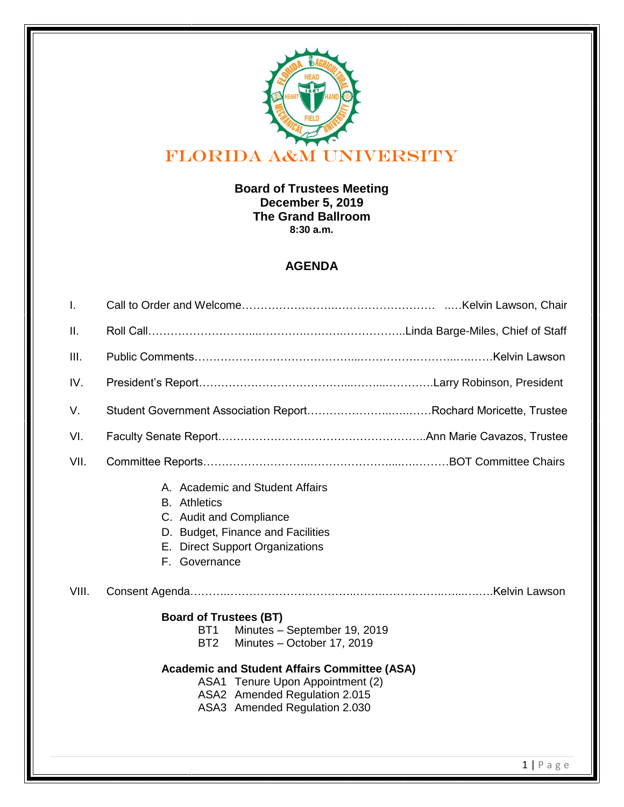

### **Board of Trustees Meeting December 5, 2019 The Grand Ballroom 8:30 a.m.**

## **AGENDA**

| I.    |                                                                                                                                                                                                                                                                                                |  |
|-------|------------------------------------------------------------------------------------------------------------------------------------------------------------------------------------------------------------------------------------------------------------------------------------------------|--|
| Ш.    |                                                                                                                                                                                                                                                                                                |  |
| III.  |                                                                                                                                                                                                                                                                                                |  |
| IV.   |                                                                                                                                                                                                                                                                                                |  |
| V.    | Student Government Association ReportRochard Moricette, Trustee                                                                                                                                                                                                                                |  |
| VI.   |                                                                                                                                                                                                                                                                                                |  |
| VII.  |                                                                                                                                                                                                                                                                                                |  |
|       | A. Academic and Student Affairs<br><b>B.</b> Athletics<br>C. Audit and Compliance<br>D. Budget, Finance and Facilities<br>E. Direct Support Organizations<br>F. Governance                                                                                                                     |  |
| VIII. |                                                                                                                                                                                                                                                                                                |  |
|       | <b>Board of Trustees (BT)</b><br>Minutes - September 19, 2019<br>BT <sub>1</sub><br>Minutes - October 17, 2019<br>BT <sub>2</sub><br><b>Academic and Student Affairs Committee (ASA)</b><br>ASA1 Tenure Upon Appointment (2)<br>ASA2 Amended Regulation 2.015<br>ASA3 Amended Regulation 2.030 |  |